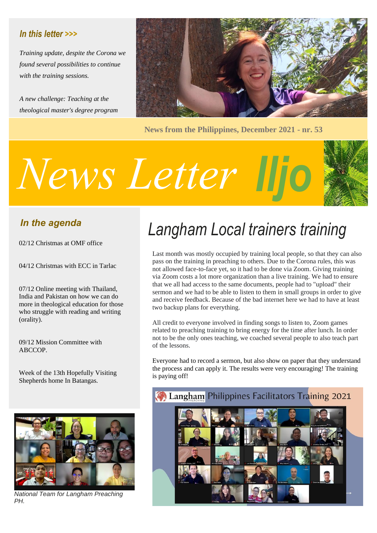#### *In this letter >>>*

*Training update, despite the Corona we found several possibilities to continue with the training sessions.*

*A new challenge: Teaching at the theological master's degree program*



**News from the Philippines, December 2021 - nr. 53**

# *Iljo News Letter*



#### *In the agenda*

02/12 Christmas at OMF office

04/12 Christmas with ECC in Tarlac

07/12 Online meeting with Thailand, India and Pakistan on how we can do more in theological education for those who struggle with reading and writing (orality).

09/12 Mission Committee with ABCCOP.

Week of the 13th Hopefully Visiting Shepherds home In Batangas.



*National Team for Langham Preaching PH.*

## *Langham Local trainers training*

Last month was mostly occupied by training local people, so that they can also pass on the training in preaching to others. Due to the Corona rules, this was not allowed face-to-face yet, so it had to be done via Zoom. Giving training via Zoom costs a lot more organization than a live training. We had to ensure that we all had access to the same documents, people had to "upload" their sermon and we had to be able to listen to them in small groups in order to give and receive feedback. Because of the bad internet here we had to have at least two backup plans for everything.

All credit to everyone involved in finding songs to listen to, Zoom games related to preaching training to bring energy for the time after lunch. In order not to be the only ones teaching, we coached several people to also teach part of the lessons.

Everyone had to record a sermon, but also show on paper that they understand the process and can apply it. The results were very encouraging! The training is paying off!

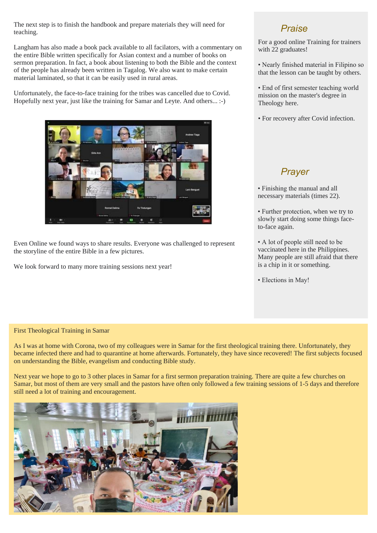The next step is to finish the handbook and prepare materials they will need for teaching.

Langham has also made a book pack available to all facilators, with a commentary on the entire Bible written specifically for Asian context and a number of books on sermon preparation. In fact, a book about listening to both the Bible and the context of the people has already been written in Tagalog. We also want to make certain material laminated, so that it can be easily used in rural areas.

Unfortunately, the face-to-face training for the tribes was cancelled due to Covid. Hopefully next year, just like the training for Samar and Leyte. And others... :-)



Even Online we found ways to share results. Everyone was challenged to represent the storyline of the entire Bible in a few pictures.

We look forward to many more training sessions next year!

#### *Praise*

For a good online Training for trainers with 22 graduates!

• Nearly finished material in Filipino so that the lesson can be taught by others.

• End of first semester teaching world mission on the master's degree in Theology here.

• For recovery after Covid infection.

#### *Prayer*

• Finishing the manual and all necessary materials (times 22).

• Further protection, when we try to slowly start doing some things faceto-face again.

• A lot of people still need to be vaccinated here in the Philippines. Many people are still afraid that there is a chip in it or something.

• Elections in May!

#### First Theological Training in Samar

As I was at home with Corona, two of my colleagues were in Samar for the first theological training there. Unfortunately, they became infected there and had to quarantine at home afterwards. Fortunately, they have since recovered! The first subjects focused on understanding the Bible, evangelism and conducting Bible study.

Next year we hope to go to 3 other places in Samar for a first sermon preparation training. There are quite a few churches on Samar, but most of them are very small and the pastors have often only followed a few training sessions of 1-5 days and therefore still need a lot of training and encouragement.